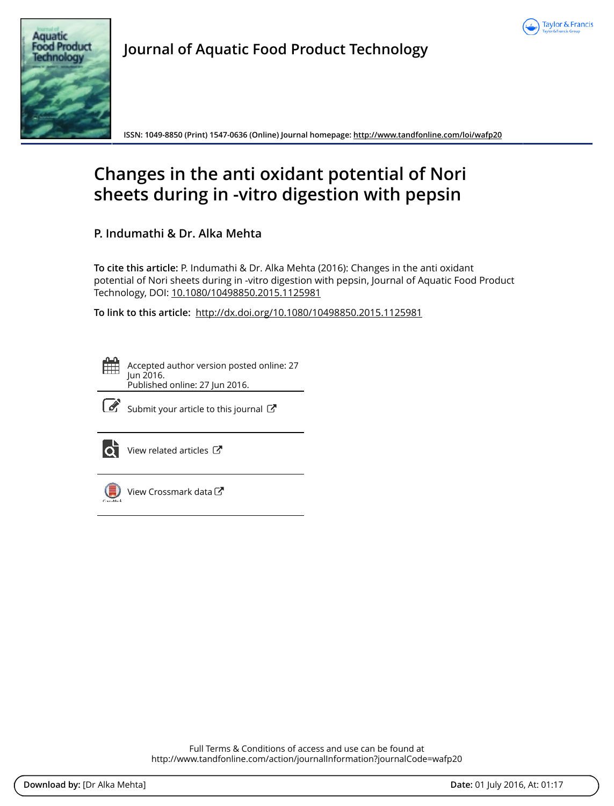



**Journal of Aquatic Food Product Technology**

**ISSN: 1049-8850 (Print) 1547-0636 (Online) Journal homepage: http://www.tandfonline.com/loi/wafp20**

# **Changes in the anti oxidant potential of Nori sheets during in -vitro digestion with pepsin**

**P. Indumathi & Dr. Alka Mehta**

**To cite this article:** P. Indumathi & Dr. Alka Mehta (2016): Changes in the anti oxidant potential of Nori sheets during in -vitro digestion with pepsin, Journal of Aquatic Food Product Technology, DOI: 10.1080/10498850.2015.1125981

**To link to this article:** http://dx.doi.org/10.1080/10498850.2015.1125981



Accepted author version posted online: 27 Jun 2016. Published online: 27 Jun 2016.



 $\overline{\mathcal{L}}$  Submit your article to this journal  $\overline{G}$ 



 $\overline{\mathbf{C}}$  View related articles  $\mathbf{C}$ 



View Crossmark data $\mathbb{Z}$ 

Full Terms & Conditions of access and use can be found at http://www.tandfonline.com/action/journalInformation?journalCode=wafp20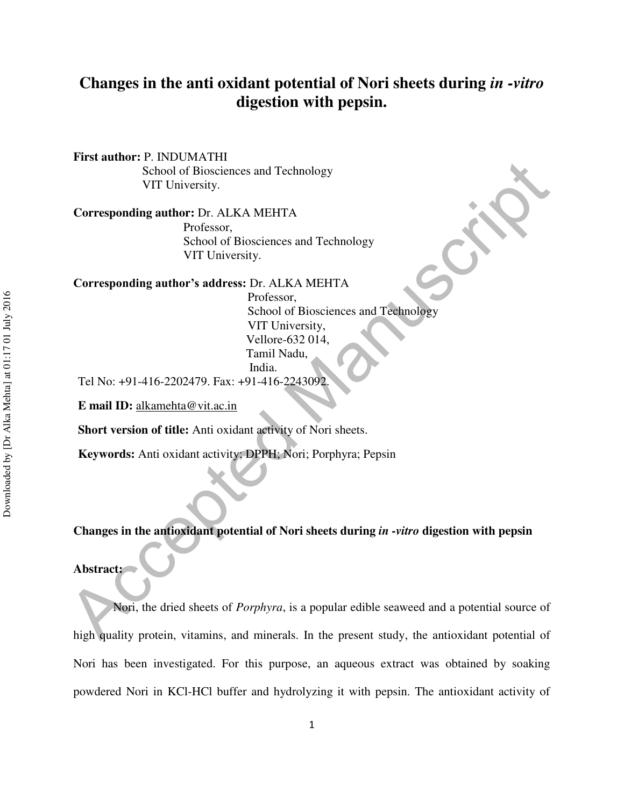# **Changes in the anti oxidant potential of Nori sheets during** *in -vitro* **digestion with pepsin.**

**First author:** P. INDUMATHI School of Biosciences and Technology VIT University.

**Corresponding author:** Dr. ALKA MEHTA Professor, School of Biosciences and Technology VIT University.

**Corresponding author's address:** Dr. ALKA MEHTA

 Professor, School of Biosciences and Technology VIT University, Vellore-632 014, Tamil Nadu, India.

Tel No: +91-416-2202479. Fax: +91-416-2243092.

**E mail ID:** alkamehta@vit.ac.in

**Short version of title:** Anti oxidant activity of Nori sheets.

**Keywords:** Anti oxidant activity; DPPH; Nori; Porphyra; Pepsin

**Changes in the antioxidant potential of Nori sheets during** *in -vitro* **digestion with pepsin** 

#### **Abstract:**

Acceleration School of Biosciences and Technology<br>
VIT University,<br>
Corresponding author's address Cr. ALKA MEHTA<br>
Professor,<br>
School of Biosciences and Technology<br>
School of Biosciences and Technology<br>
School of Bioscienc Nori, the dried sheets of *Porphyra*, is a popular edible seaweed and a potential source of high quality protein, vitamins, and minerals. In the present study, the antioxidant potential of Nori has been investigated. For this purpose, an aqueous extract was obtained by soaking powdered Nori in KCl-HCl buffer and hydrolyzing it with pepsin. The antioxidant activity of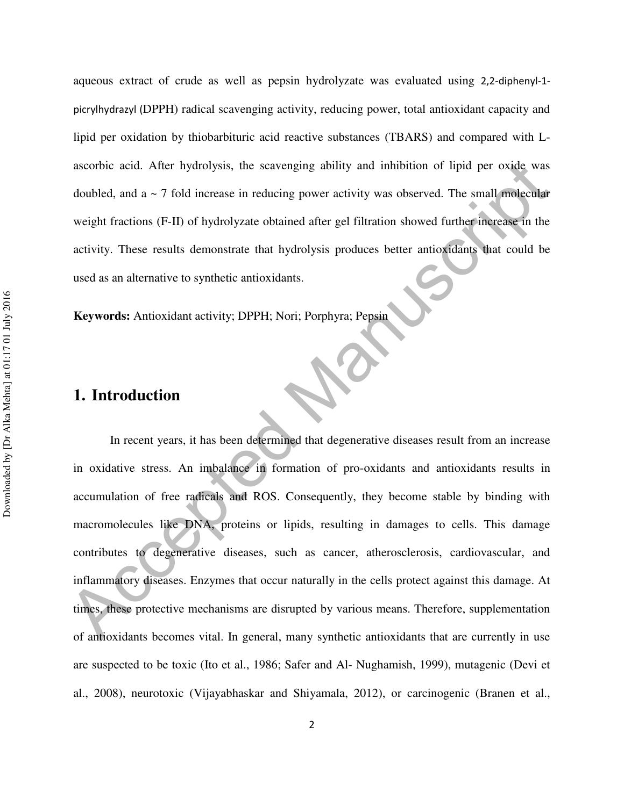aqueous extract of crude as well as pepsin hydrolyzate was evaluated using 2,2-diphenyl-1 picrylhydrazyl (DPPH) radical scavenging activity, reducing power, total antioxidant capacity and lipid per oxidation by thiobarbituric acid reactive substances (TBARS) and compared with Lascorbic acid. After hydrolysis, the scavenging ability and inhibition of lipid per oxide was doubled, and  $a \sim 7$  fold increase in reducing power activity was observed. The small molecular weight fractions (F-II) of hydrolyzate obtained after gel filtration showed further increase in the activity. These results demonstrate that hydrolysis produces better antioxidants that could be used as an alternative to synthetic antioxidants.

**Keywords:** Antioxidant activity; DPPH; Nori; Porphyra; Pepsin

# **1. Introduction**

accorbic acid. After hydrolysis, the scavenging ability and inhibition of lipid per oxide was<br>doubled, and a - 7 fold increase in reducing power activity was observed. The small molecular<br>weight fractions (F-II) of hydroly In recent years, it has been determined that degenerative diseases result from an increase in oxidative stress. An imbalance in formation of pro-oxidants and antioxidants results in accumulation of free radicals and ROS. Consequently, they become stable by binding with macromolecules like DNA, proteins or lipids, resulting in damages to cells. This damage contributes to degenerative diseases, such as cancer, atherosclerosis, cardiovascular, and inflammatory diseases. Enzymes that occur naturally in the cells protect against this damage. At times, these protective mechanisms are disrupted by various means. Therefore, supplementation of antioxidants becomes vital. In general, many synthetic antioxidants that are currently in use are suspected to be toxic (Ito et al., 1986; Safer and Al- Nughamish, 1999), mutagenic (Devi et al., 2008), neurotoxic (Vijayabhaskar and Shiyamala, 2012), or carcinogenic (Branen et al.,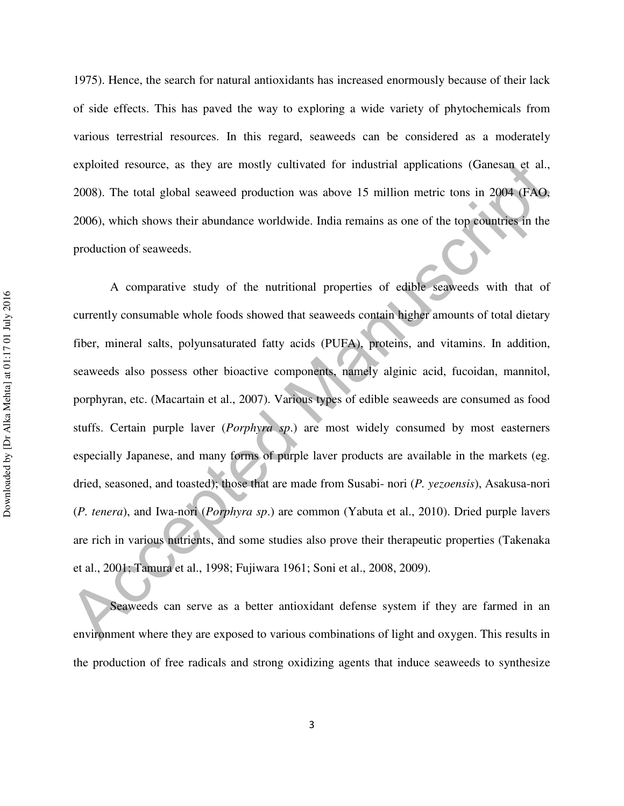1975). Hence, the search for natural antioxidants has increased enormously because of their lack of side effects. This has paved the way to exploring a wide variety of phytochemicals from various terrestrial resources. In this regard, seaweeds can be considered as a moderately exploited resource, as they are mostly cultivated for industrial applications (Ganesan et al., 2008). The total global seaweed production was above 15 million metric tons in 2004 (FAO, 2006), which shows their abundance worldwide. India remains as one of the top countries in the production of seaweeds.

exploited resource, as they are mostly cultivated for industrial applications (Ganesam et al., 2008). The total global seaweed production was above 15 million metric tons in 2004 (FAQ, 2006), which shows their abundunce w A comparative study of the nutritional properties of edible seaweeds with that of currently consumable whole foods showed that seaweeds contain higher amounts of total dietary fiber, mineral salts, polyunsaturated fatty acids (PUFA), proteins, and vitamins. In addition, seaweeds also possess other bioactive components, namely alginic acid, fucoidan, mannitol, porphyran, etc. (Macartain et al., 2007). Various types of edible seaweeds are consumed as food stuffs. Certain purple laver (*Porphyra sp*.) are most widely consumed by most easterners especially Japanese, and many forms of purple laver products are available in the markets (eg. dried, seasoned, and toasted); those that are made from Susabi- nori (*P. yezoensis*), Asakusa-nori (*P. tenera*), and Iwa-nori (*Porphyra sp*.) are common (Yabuta et al., 2010). Dried purple lavers are rich in various nutrients, and some studies also prove their therapeutic properties (Takenaka et al., 2001; Tamura et al., 1998; Fujiwara 1961; Soni et al., 2008, 2009).

Seaweeds can serve as a better antioxidant defense system if they are farmed in an environment where they are exposed to various combinations of light and oxygen. This results in the production of free radicals and strong oxidizing agents that induce seaweeds to synthesize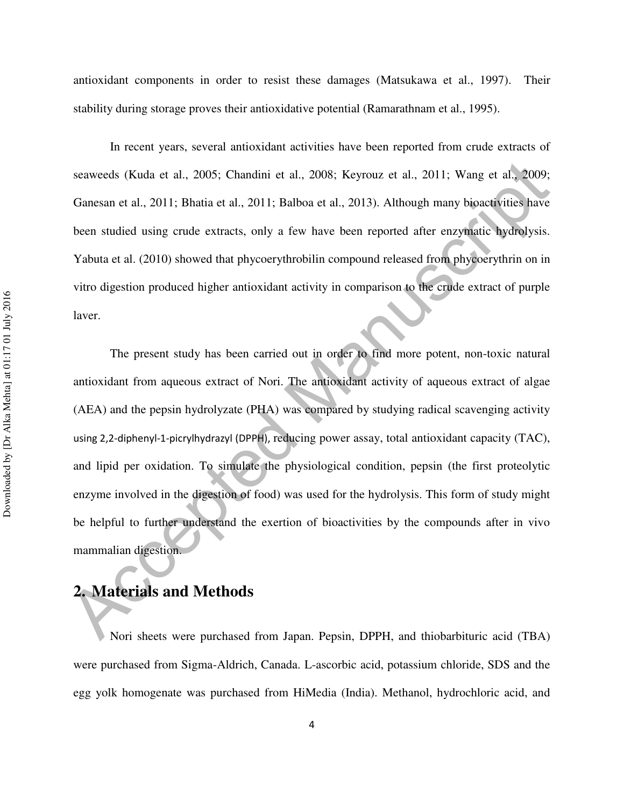antioxidant components in order to resist these damages (Matsukawa et al., 1997). Their stability during storage proves their antioxidative potential (Ramarathnam et al., 1995).

In recent years, several antioxidant activities have been reported from crude extracts of seaweeds (Kuda et al., 2005; Chandini et al., 2008; Keyrouz et al., 2011; Wang et al., 2009; Ganesan et al., 2011; Bhatia et al., 2011; Balboa et al., 2013). Although many bioactivities have been studied using crude extracts, only a few have been reported after enzymatic hydrolysis. Yabuta et al. (2010) showed that phycoerythrobilin compound released from phycoerythrin on in vitro digestion produced higher antioxidant activity in comparison to the crude extract of purple laver.

seaweeds (Kuda et al., 2005; Chandini et al., 2008; Keyrouz et al., 2011; Wang et al., 2009;<br>
Ganesan et al., 2011; Bhatia et al., 2011; Balboa et al., 2013). Although many bioactivities have<br>
been studied using crude ext The present study has been carried out in order to find more potent, non-toxic natural antioxidant from aqueous extract of Nori. The antioxidant activity of aqueous extract of algae (AEA) and the pepsin hydrolyzate (PHA) was compared by studying radical scavenging activity using 2,2-diphenyl-1-picrylhydrazyl (DPPH), reducing power assay, total antioxidant capacity (TAC), and lipid per oxidation. To simulate the physiological condition, pepsin (the first proteolytic enzyme involved in the digestion of food) was used for the hydrolysis. This form of study might be helpful to further understand the exertion of bioactivities by the compounds after in vivo mammalian digestion.

# **2. Materials and Methods**

Nori sheets were purchased from Japan. Pepsin, DPPH, and thiobarbituric acid (TBA) were purchased from Sigma-Aldrich, Canada. L-ascorbic acid, potassium chloride, SDS and the egg yolk homogenate was purchased from HiMedia (India). Methanol, hydrochloric acid, and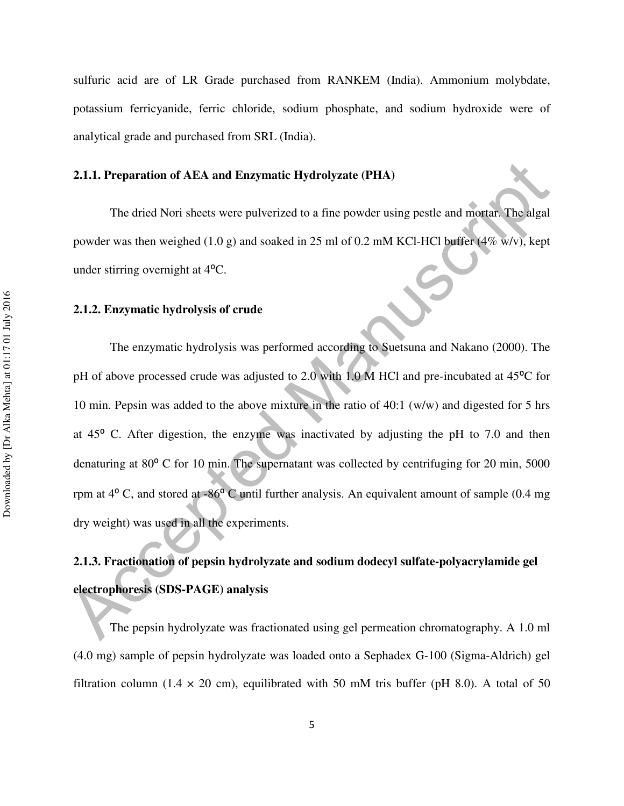sulfuric acid are of LR Grade purchased from RANKEM (India). Ammonium molybdate, potassium ferricyanide, ferric chloride, sodium phosphate, and sodium hydroxide were of analytical grade and purchased from SRL (India).

#### **2.1.1. Preparation of AEA and Enzymatic Hydrolyzate (PHA)**

The dried Nori sheets were pulverized to a fine powder using pestle and mortar. The algal powder was then weighed (1.0 g) and soaked in 25 ml of 0.2 mM KCl-HCl buffer (4% w/v), kept under stirring overnight at  $4^{\circ}$ C.

## **2.1.2. Enzymatic hydrolysis of crude**

2.1.1. Preparation of AEA and Enzymatic Hydrolyzate (PHA)<br>
The dried Nori sheets were pulverized to a fine powder using pestle and mortan. The algal<br>
powder was then weighed (1.0 g) and soaked in 25 ml of 0.2 mM KCl-HCl b The enzymatic hydrolysis was performed according to Suetsuna and Nakano (2000). The pH of above processed crude was adjusted to 2.0 with 1.0 M HCl and pre-incubated at 45°C for 10 min. Pepsin was added to the above mixture in the ratio of 40:1 (w/w) and digested for 5 hrs at  $45^{\circ}$  C. After digestion, the enzyme was inactivated by adjusting the pH to 7.0 and then denaturing at 80° C for 10 min. The supernatant was collected by centrifuging for 20 min, 5000 rpm at  $4^{\circ}$  C, and stored at  $-86^{\circ}$  C until further analysis. An equivalent amount of sample (0.4 mg) dry weight) was used in all the experiments.

# **2.1.3. Fractionation of pepsin hydrolyzate and sodium dodecyl sulfate-polyacrylamide gel electrophoresis (SDS-PAGE) analysis**

 The pepsin hydrolyzate was fractionated using gel permeation chromatography. A 1.0 ml (4.0 mg) sample of pepsin hydrolyzate was loaded onto a Sephadex G-100 (Sigma-Aldrich) gel filtration column (1.4  $\times$  20 cm), equilibrated with 50 mM tris buffer (pH 8.0). A total of 50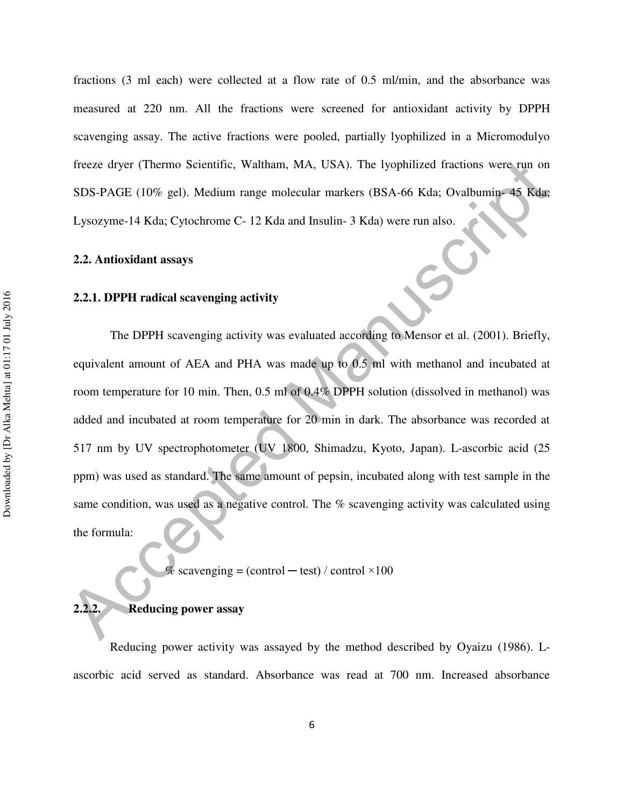fractions (3 ml each) were collected at a flow rate of 0.5 ml/min, and the absorbance was measured at 220 nm. All the fractions were screened for antioxidant activity by DPPH scavenging assay. The active fractions were pooled, partially lyophilized in a Micromodulyo freeze dryer (Thermo Scientific, Waltham, MA, USA). The lyophilized fractions were run on SDS-PAGE (10% gel). Medium range molecular markers (BSA-66 Kda; Ovalbumin- 45 Kda; Lysozyme-14 Kda; Cytochrome C- 12 Kda and Insulin- 3 Kda) were run also.

#### **2.2. Antioxidant assays**

#### **2.2.1. DPPH radical scavenging activity**

freeze dryer (Thermo Scientific, Waltham, MA, USA). The lyophilized fractions were run on<br>
SDS-PAGE (10% gel). Medium range molecular markers (BSA-66 Kda; Ovalbumin=48 Kda;<br>
Lysozyme-14 Kda; Cytochrome C-12 Kda and Insuli The DPPH scavenging activity was evaluated according to Mensor et al. (2001). Briefly, equivalent amount of AEA and PHA was made up to 0.5 ml with methanol and incubated at room temperature for 10 min. Then, 0.5 ml of 0.4% DPPH solution (dissolved in methanol) was added and incubated at room temperature for 20 min in dark. The absorbance was recorded at 517 nm by UV spectrophotometer (UV 1800, Shimadzu, Kyoto, Japan). L-ascorbic acid (25 ppm) was used as standard. The same amount of pepsin, incubated along with test sample in the same condition, was used as a negative control. The % scavenging activity was calculated using the formula:

% scavenging = (control  $-$  test) / control  $\times$ 100

## **2.2.2. Reducing power assay**

Reducing power activity was assayed by the method described by Oyaizu (1986). Lascorbic acid served as standard. Absorbance was read at 700 nm. Increased absorbance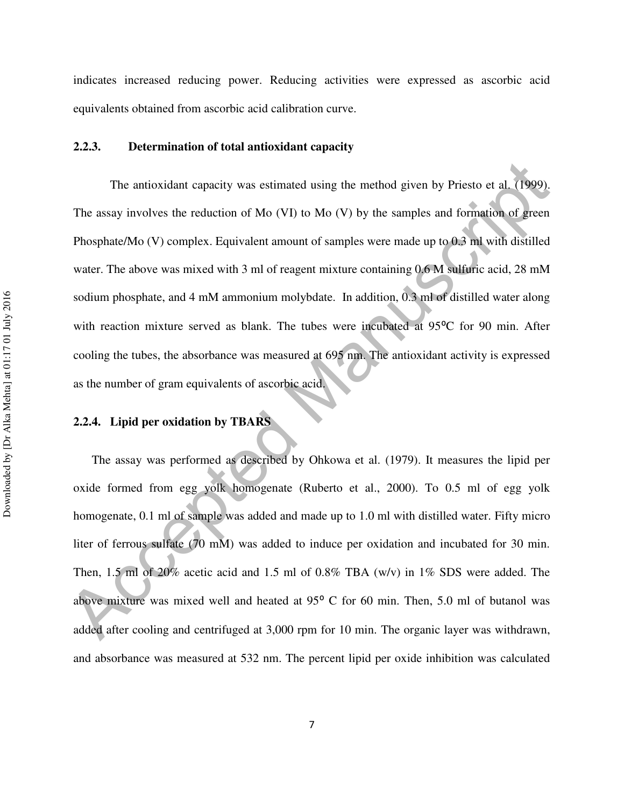indicates increased reducing power. Reducing activities were expressed as ascorbic acid equivalents obtained from ascorbic acid calibration curve.

## **2.2.3. Determination of total antioxidant capacity**

The antioxidant capacity was estimated using the method given by Priesto et al. (1999).<br>
The assay involves the reduction of Mo (VI) to Mo (V) by the samples and formation of green<br>
Phosphate/Mo (V) complex. Equivalent am The antioxidant capacity was estimated using the method given by Priesto et al. (1999). The assay involves the reduction of Mo (VI) to Mo (V) by the samples and formation of green Phosphate/Mo (V) complex. Equivalent amount of samples were made up to 0.3 ml with distilled water. The above was mixed with 3 ml of reagent mixture containing 0.6 M sulfuric acid, 28 mM sodium phosphate, and 4 mM ammonium molybdate. In addition, 0.3 ml of distilled water along with reaction mixture served as blank. The tubes were incubated at 95°C for 90 min. After cooling the tubes, the absorbance was measured at 695 nm. The antioxidant activity is expressed as the number of gram equivalents of ascorbic acid.

## **2.2.4. Lipid per oxidation by TBARS**

The assay was performed as described by Ohkowa et al. (1979). It measures the lipid per oxide formed from egg yolk homogenate (Ruberto et al., 2000). To 0.5 ml of egg yolk homogenate, 0.1 ml of sample was added and made up to 1.0 ml with distilled water. Fifty micro liter of ferrous sulfate (70 mM) was added to induce per oxidation and incubated for 30 min. Then, 1.5 ml of 20% acetic acid and 1.5 ml of 0.8% TBA (w/v) in 1% SDS were added. The above mixture was mixed well and heated at 95<sup>°</sup> C for 60 min. Then, 5.0 ml of butanol was added after cooling and centrifuged at 3,000 rpm for 10 min. The organic layer was withdrawn, and absorbance was measured at 532 nm. The percent lipid per oxide inhibition was calculated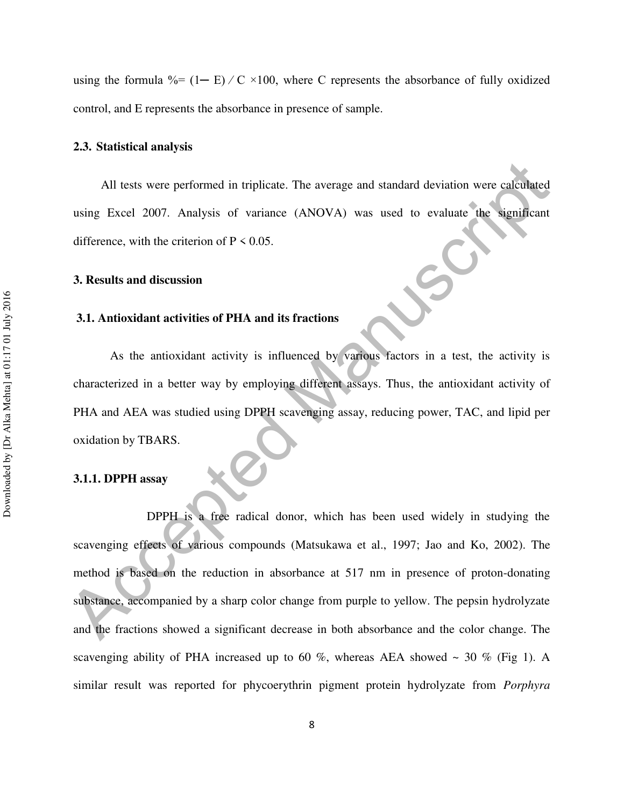using the formula  $\% = (1 - E) / C \times 100$ , where C represents the absorbance of fully oxidized control, and E represents the absorbance in presence of sample.

#### **2.3. Statistical analysis**

All tests were performed in triplicate. The average and standard deviation were calculated using Excel 2007. Analysis of variance (ANOVA) was used to evaluate the significant difference, with the criterion of  $P \le 0.05$ .

#### **3. Results and discussion**

#### **3.1. Antioxidant activities of PHA and its fractions**

 As the antioxidant activity is influenced by various factors in a test, the activity is characterized in a better way by employing different assays. Thus, the antioxidant activity of PHA and AEA was studied using DPPH scavenging assay, reducing power, TAC, and lipid per oxidation by TBARS.

#### **3.1.1. DPPH assay**

All tests were performed in triplicate. The average and standard deviation were calculated<br>
using Excel 2007. Analysis of variance (ANOVA) was used to valuate the significant<br>
difference, with the criterion of P < 0.05.<br>
3 DPPH is a free radical donor, which has been used widely in studying the scavenging effects of various compounds (Matsukawa et al., 1997; Jao and Ko, 2002). The method is based on the reduction in absorbance at 517 nm in presence of proton-donating substance, accompanied by a sharp color change from purple to yellow. The pepsin hydrolyzate and the fractions showed a significant decrease in both absorbance and the color change. The scavenging ability of PHA increased up to 60 %, whereas AEA showed  $\sim$  30 % (Fig 1). A similar result was reported for phycoerythrin pigment protein hydrolyzate from *Porphyra*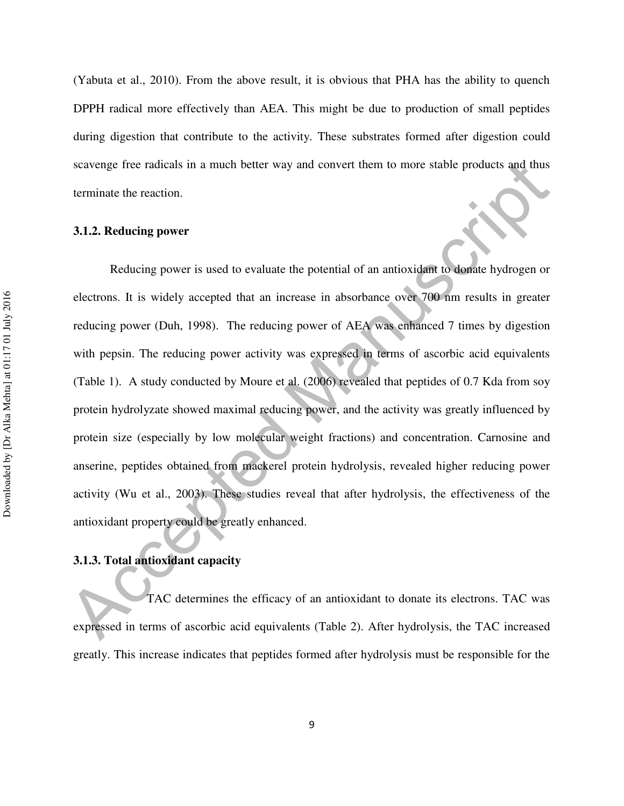(Yabuta et al., 2010). From the above result, it is obvious that PHA has the ability to quench DPPH radical more effectively than AEA. This might be due to production of small peptides during digestion that contribute to the activity. These substrates formed after digestion could scavenge free radicals in a much better way and convert them to more stable products and thus terminate the reaction.

### **3.1.2. Reducing power**

scavenge free radicals in a much better way and convert them to more stable products and thus<br>terminate the reaction.<br>
3.1.2. Reducing power<br>
Reducing power<br>
Reducing power<br>
Reducing power is used to evaluate the potential Reducing power is used to evaluate the potential of an antioxidant to donate hydrogen or electrons. It is widely accepted that an increase in absorbance over 700 nm results in greater reducing power (Duh, 1998). The reducing power of AEA was enhanced 7 times by digestion with pepsin. The reducing power activity was expressed in terms of ascorbic acid equivalents (Table 1). A study conducted by Moure et al. (2006) revealed that peptides of 0.7 Kda from soy protein hydrolyzate showed maximal reducing power, and the activity was greatly influenced by protein size (especially by low molecular weight fractions) and concentration. Carnosine and anserine, peptides obtained from mackerel protein hydrolysis, revealed higher reducing power activity (Wu et al., 2003). These studies reveal that after hydrolysis, the effectiveness of the antioxidant property could be greatly enhanced.

## **3.1.3. Total antioxidant capacity**

 TAC determines the efficacy of an antioxidant to donate its electrons. TAC was expressed in terms of ascorbic acid equivalents (Table 2). After hydrolysis, the TAC increased greatly. This increase indicates that peptides formed after hydrolysis must be responsible for the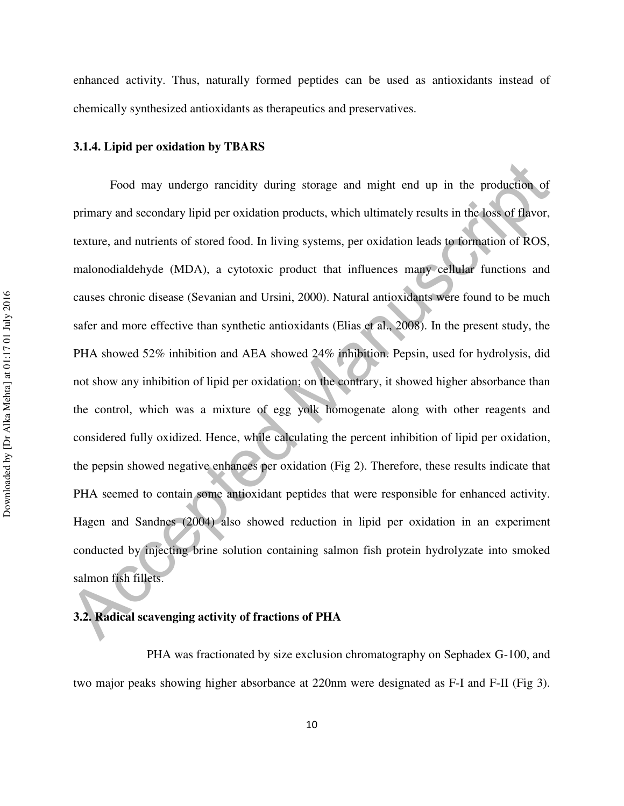enhanced activity. Thus, naturally formed peptides can be used as antioxidants instead of chemically synthesized antioxidants as therapeutics and preservatives.

#### **3.1.4. Lipid per oxidation by TBARS**

Food may undergo rancidity during storage and might end up in the production of primary and secondary lipid per oxidation products, which ultimately results in the loss of flavor, texture, and nutrients of stored food. In Food may undergo rancidity during storage and might end up in the production of primary and secondary lipid per oxidation products, which ultimately results in the loss of flavor, texture, and nutrients of stored food. In living systems, per oxidation leads to formation of ROS, malonodialdehyde (MDA), a cytotoxic product that influences many cellular functions and causes chronic disease (Sevanian and Ursini, 2000). Natural antioxidants were found to be much safer and more effective than synthetic antioxidants (Elias et al., 2008). In the present study, the PHA showed 52% inhibition and AEA showed 24% inhibition. Pepsin, used for hydrolysis, did not show any inhibition of lipid per oxidation; on the contrary, it showed higher absorbance than the control, which was a mixture of egg yolk homogenate along with other reagents and considered fully oxidized. Hence, while calculating the percent inhibition of lipid per oxidation, the pepsin showed negative enhances per oxidation (Fig 2). Therefore, these results indicate that PHA seemed to contain some antioxidant peptides that were responsible for enhanced activity. Hagen and Sandnes (2004) also showed reduction in lipid per oxidation in an experiment conducted by injecting brine solution containing salmon fish protein hydrolyzate into smoked salmon fish fillets.

## **3.2. Radical scavenging activity of fractions of PHA**

 PHA was fractionated by size exclusion chromatography on Sephadex G-100, and two major peaks showing higher absorbance at 220nm were designated as F-I and F-II (Fig 3).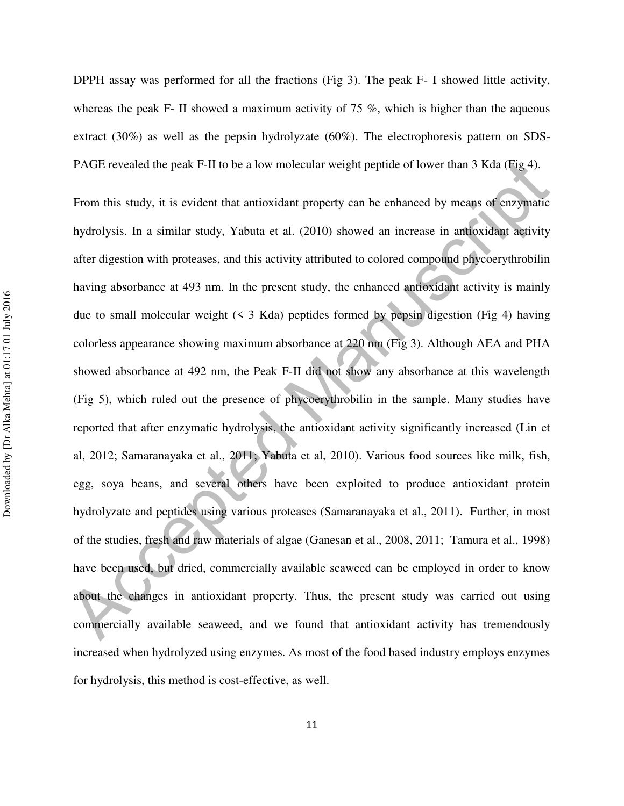DPPH assay was performed for all the fractions (Fig 3). The peak F- I showed little activity, whereas the peak F- II showed a maximum activity of 75  $\%$ , which is higher than the aqueous extract (30%) as well as the pepsin hydrolyzate (60%). The electrophoresis pattern on SDS-PAGE revealed the peak F-II to be a low molecular weight peptide of lower than 3 Kda (Fig 4).

PAGE revealed the peak F-II to be a low molecular weight popide of lower than 3 Kda (Fig.4).<br>From this study, it is evident that antioxidant property can be enhanced by means of enzymatic<br>hydrolysis. In a similar study, Y From this study, it is evident that antioxidant property can be enhanced by means of enzymatic hydrolysis. In a similar study, Yabuta et al. (2010) showed an increase in antioxidant activity after digestion with proteases, and this activity attributed to colored compound phycoerythrobilin having absorbance at 493 nm. In the present study, the enhanced antioxidant activity is mainly due to small molecular weight  $(5 \times 3 \text{ Kda})$  peptides formed by pepsin digestion (Fig 4) having colorless appearance showing maximum absorbance at 220 nm (Fig 3). Although AEA and PHA showed absorbance at 492 nm, the Peak F-II did not show any absorbance at this wavelength (Fig 5), which ruled out the presence of phycoerythrobilin in the sample. Many studies have reported that after enzymatic hydrolysis, the antioxidant activity significantly increased (Lin et al, 2012; Samaranayaka et al., 2011; Yabuta et al, 2010). Various food sources like milk, fish, egg, soya beans, and several others have been exploited to produce antioxidant protein hydrolyzate and peptides using various proteases (Samaranayaka et al., 2011). Further, in most of the studies, fresh and raw materials of algae (Ganesan et al., 2008, 2011; Tamura et al., 1998) have been used, but dried, commercially available seaweed can be employed in order to know about the changes in antioxidant property. Thus, the present study was carried out using commercially available seaweed, and we found that antioxidant activity has tremendously increased when hydrolyzed using enzymes. As most of the food based industry employs enzymes for hydrolysis, this method is cost-effective, as well.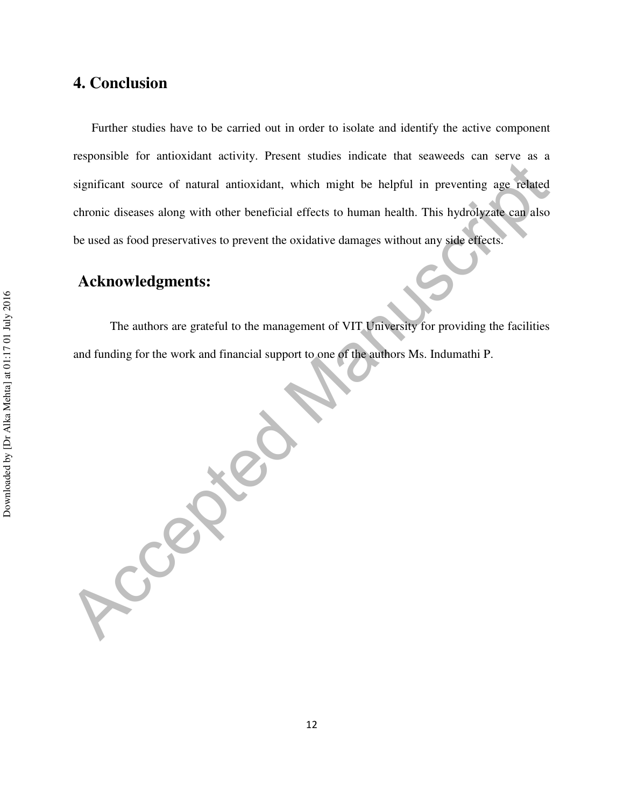# **4. Conclusion**

Further studies have to be carried out in order to isolate and identify the active component responsible for antioxidant activity. Present studies indicate that seaweeds can serve as a significant source of natural antioxidant, which might be helpful in preventing age related chronic diseases along with other beneficial effects to human health. This hydrolyzate can also be used as food preservatives to prevent the oxidative damages without any side effects.

# **Acknowledgments:**

The authors are grateful to the management of VIT University for providing the facilities and funding for the work and financial support to one of the authors Ms. Indumathi P.

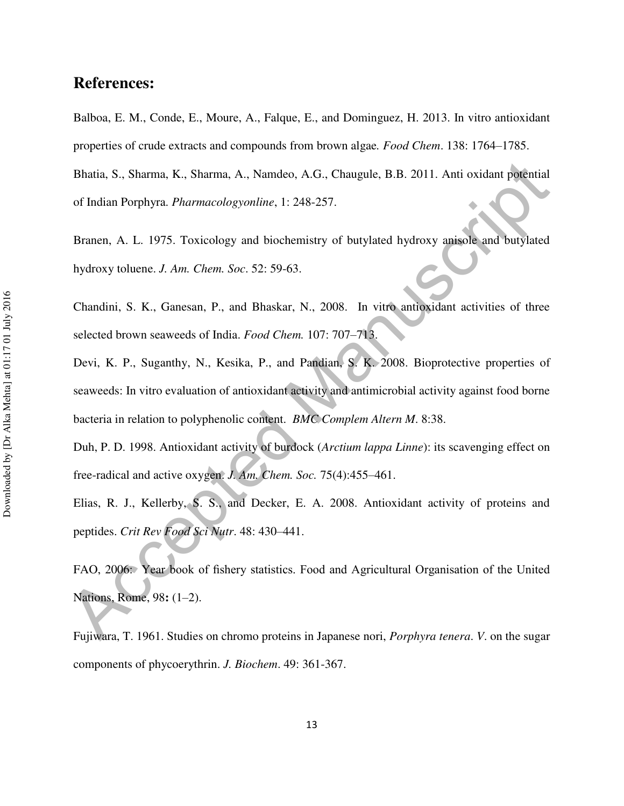# **References:**

Balboa, E. M., Conde, E., Moure, A., Falque, E., and Dominguez, H. 2013. In vitro antioxidant properties of crude extracts and compounds from brown algae*. Food Chem*. 138: 1764–1785. Bhatia, S., Sharma, K., Sharma, A., Namdeo, A.G., Chaugule, B.B. 2011. Anti oxidant potential of Indian Porphyra. *Pharmacologyonline*, 1: 248-257.

Branen, A. L. 1975. Toxicology and biochemistry of butylated hydroxy anisole and butylated hydroxy toluene. *J. Am. Chem. Soc*. 52: 59-63.

Chandini, S. K., Ganesan, P., and Bhaskar, N., 2008. In vitro antioxidant activities of three selected brown seaweeds of India. *Food Chem.* 107: 707–713.

Bhatia, S., Sharma, K., Sharma, A., Nanndeo, A.G., Chaugule, B.B. 2011. Anti oxidant potential<br>of Indian Porphyra. *Pharmacologyonline*, 1: 248-257.<br>
Branen, A. L. 1975. Toxicology and biochemistry of butylated hydroxy ani Devi, K. P., Suganthy, N., Kesika, P., and Pandian, S. K. 2008. Bioprotective properties of seaweeds: In vitro evaluation of antioxidant activity and antimicrobial activity against food borne bacteria in relation to polyphenolic content. *BMC Complem Altern M*. 8:38.

Duh, P. D. 1998. Antioxidant activity of burdock (*Arctium lappa Linne*): its scavenging effect on free-radical and active oxygen. *J. Am. Chem. Soc.* 75(4):455–461.

Elias, R. J., Kellerby, S. S., and Decker, E. A. 2008. Antioxidant activity of proteins and peptides. *Crit Rev Food Sci Nutr*. 48: 430–441.

FAO, 2006: Year book of fishery statistics. Food and Agricultural Organisation of the United Nations, Rome, 98**:** (1–2).

Fujiwara, T. 1961. Studies on chromo proteins in Japanese nori, *Porphyra tenera*. *V*. on the sugar components of phycoerythrin. *J. Biochem*. 49: 361-367.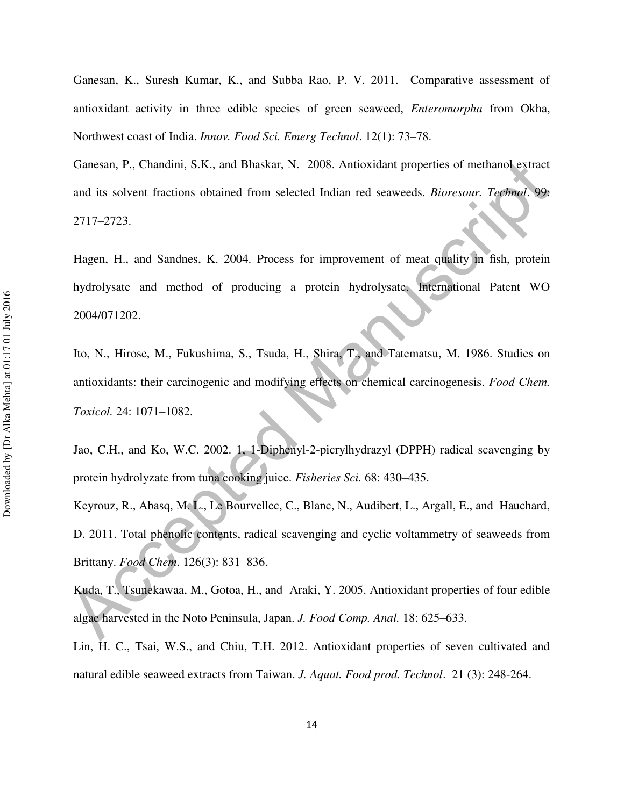Ganesan, K., Suresh Kumar, K., and Subba Rao, P. V. 2011. Comparative assessment of antioxidant activity in three edible species of green seaweed, *Enteromorpha* from Okha, Northwest coast of India. *Innov. Food Sci. Emerg Technol*. 12(1): 73–78.

Ganesan, P., Chandini, S.K., and Bhaskar, N. 2008. Antioxidant properties of methanol extract and its solvent fractions obtained from selected Indian red seaweeds*. Bioresour. Technol*. 99: 2717–2723.

Hagen, H., and Sandnes, K. 2004. Process for improvement of meat quality in fish, protein hydrolysate and method of producing a protein hydrolysate. International Patent WO 2004/071202.

Ganesan, P., Chandini, S.K., and Bhaskar, N. 2008. Antioxidant properties of methanol extract<br>and its solvent fractions obtained from selected Indian red seaweeds. *Bioresour: Technol.* 99:<br>2717–2723.<br>Hagen, H., and Sandne Ito, N., Hirose, M., Fukushima, S., Tsuda, H., Shira, T., and Tatematsu, M. 1986. Studies on antioxidants: their carcinogenic and modifying effects on chemical carcinogenesis. *Food Chem. Toxicol.* 24: 1071–1082.

Jao, C.H., and Ko, W.C. 2002. 1, 1-Diphenyl-2-picrylhydrazyl (DPPH) radical scavenging by protein hydrolyzate from tuna cooking juice. *Fisheries Sci.* 68: 430–435.

Keyrouz, R., Abasq, M. L., Le Bourvellec, C., Blanc, N., Audibert, L., Argall, E., and Hauchard, D. 2011. Total phenolic contents, radical scavenging and cyclic voltammetry of seaweeds from Brittany. *Food Chem*. 126(3): 831–836.

Kuda, T., Tsunekawaa, M., Gotoa, H., and Araki, Y. 2005. Antioxidant properties of four edible algae harvested in the Noto Peninsula, Japan. *J. Food Comp. Anal.* 18: 625–633.

Lin, H. C., Tsai, W.S., and Chiu, T.H. 2012. Antioxidant properties of seven cultivated and natural edible seaweed extracts from Taiwan. *J. Aquat. Food prod. Technol*. 21 (3): 248-264.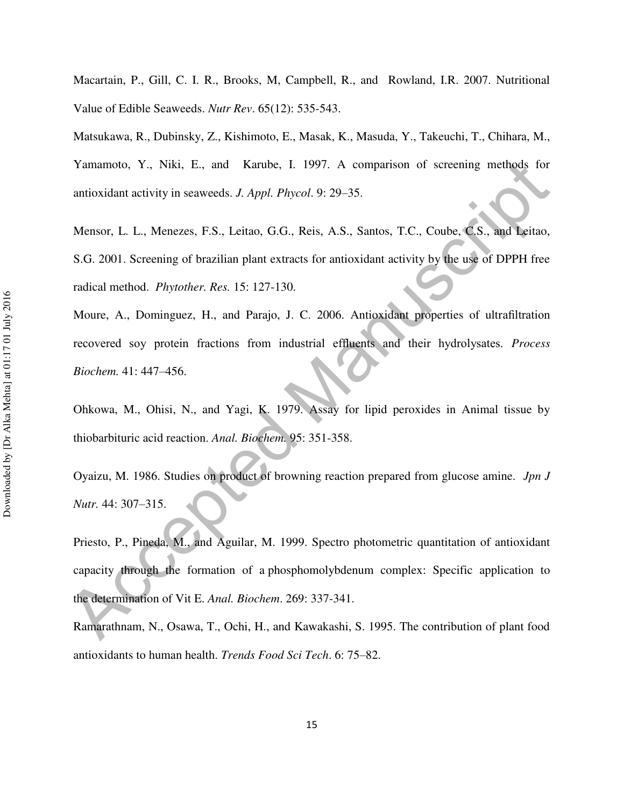Macartain, P., Gill, C. I. R., Brooks, M, Campbell, R., and Rowland, I.R. 2007. Nutritional Value of Edible Seaweeds. *Nutr Rev*. 65(12): 535-543.

Matsukawa, R., Dubinsky, Z., Kishimoto, E., Masak, K., Masuda, Y., Takeuchi, T., Chihara, M., Yamamoto, Y., Niki, E., and Karube, I. 1997. A comparison of screening methods for antioxidant activity in seaweeds. *J. Appl. Phycol*. 9: 29–35.

Mensor, L. L., Menezes, F.S., Leitao, G.G., Reis, A.S., Santos, T.C., Coube, C.S., and Leitao, S.G. 2001. Screening of brazilian plant extracts for antioxidant activity by the use of DPPH free radical method. *Phytother. Res.* 15: 127-130.

Moure, A., Dominguez, H., and Parajo, J. C. 2006. Antioxidant properties of ultrafiltration recovered soy protein fractions from industrial effluents and their hydrolysates. *Process Biochem.* 41: 447–456.

Ohkowa, M., Ohisi, N., and Yagi, K. 1979. Assay for lipid peroxides in Animal tissue by thiobarbituric acid reaction. *Anal. Biochem.* 95: 351-358.

Oyaizu, M. 1986. Studies on product of browning reaction prepared from glucose amine. *Jpn J Nutr.* 44: 307–315.

Yumamoto, Y., Niki, E., and Karube, I. 1997. A comparison of serecning methods for<br>antioxidant activity in seaweeds. *J. Appl. Phycol*. 9: 29–35.<br>Mensor, L. L., Menezes, *F.S.*, Leitao, G.G., Reis, A.S., Santos, T.C., Cou Priesto, P., Pineda, M., and Aguilar, M. 1999. Spectro photometric quantitation of antioxidant capacity through the formation of a phosphomolybdenum complex: Specific application to the determination of Vit E. *Anal. Biochem*. 269: 337-341.

Ramarathnam, N., Osawa, T., Ochi, H., and Kawakashi, S. 1995. The contribution of plant food antioxidants to human health. *Trends Food Sci Tech*. 6: 75–82.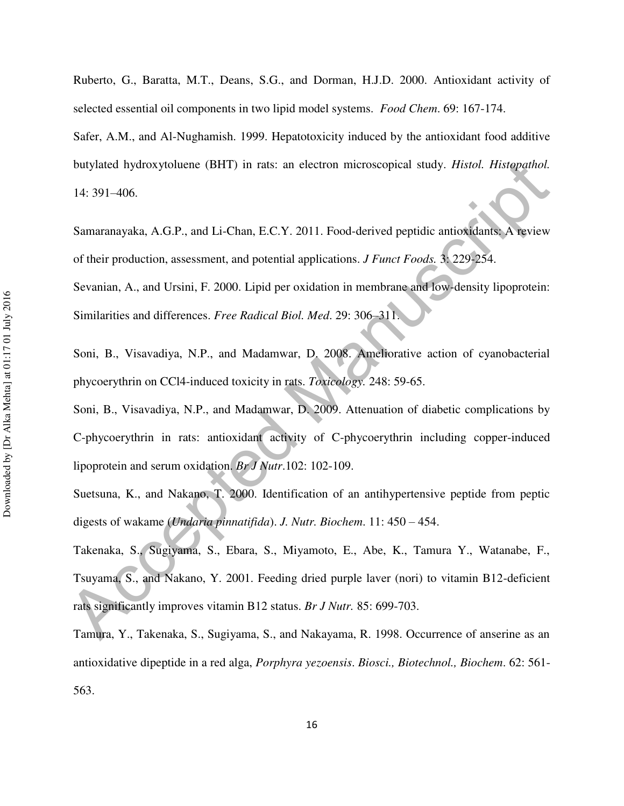Ruberto, G., Baratta, M.T., Deans, S.G., and Dorman, H.J.D. 2000. Antioxidant activity of selected essential oil components in two lipid model systems. *Food Chem*. 69: 167-174.

Safer, A.M., and Al-Nughamish. 1999. Hepatotoxicity induced by the antioxidant food additive butylated hydroxytoluene (BHT) in rats: an electron microscopical study. *Histol. Histopathol.* 14: 391–406.

Samaranayaka, A.G.P., and Li-Chan, E.C.Y. 2011. Food-derived peptidic antioxidants: A review of their production, assessment, and potential applications. *J Funct Foods.* 3: 229-254.

Sevanian, A., and Ursini, F. 2000. Lipid per oxidation in membrane and low-density lipoprotein: Similarities and differences. *Free Radical Biol. Med*. 29: 306–311.

Soni, B., Visavadiya, N.P., and Madamwar, D. 2008. Ameliorative action of cyanobacterial phycoerythrin on CCl4-induced toxicity in rats. *Toxicology.* 248: 59-65.

Soni, B., Visavadiya, N.P., and Madamwar, D. 2009. Attenuation of diabetic complications by C-phycoerythrin in rats: antioxidant activity of C-phycoerythrin including copper-induced lipoprotein and serum oxidation. *Br J Nutr*.102: 102-109.

Suetsuna, K., and Nakano, T. 2000. Identification of an antihypertensive peptide from peptic digests of wakame (*Undaria pinnatifida*). *J. Nutr. Biochem*. 11: 450 – 454.

butylated hydroxytoluene (BHT) in rats: an electron microscopical study. *Histol. Histopathol.*<br>14: 391–406.<br>
Samaranayaka, A.G.P., and Li-Chan, E.C.Y. 2011. Food-derived peptidic antioxidants A twiew<br>
of their production, Takenaka, S., Sugiyama, S., Ebara, S., Miyamoto, E., Abe, K., Tamura Y., Watanabe, F., Tsuyama, S., and Nakano, Y. 2001. Feeding dried purple laver (nori) to vitamin B12-deficient rats significantly improves vitamin B12 status. *Br J Nutr.* 85: 699-703.

Tamura, Y., Takenaka, S., Sugiyama, S., and Nakayama, R. 1998. Occurrence of anserine as an antioxidative dipeptide in a red alga, *Porphyra yezoensis*. *Biosci., Biotechnol., Biochem*. 62: 561- 563.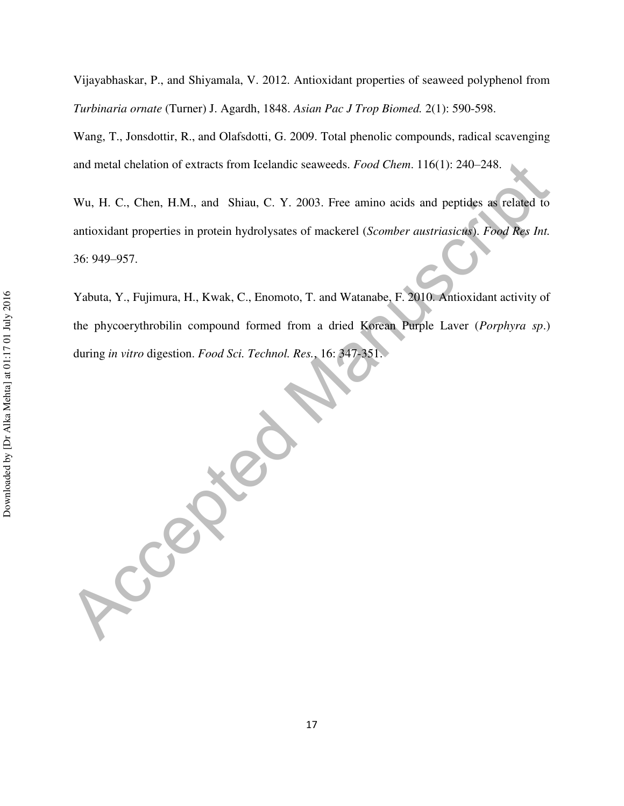Vijayabhaskar, P., and Shiyamala, V. 2012. Antioxidant properties of seaweed polyphenol from *Turbinaria ornate* (Turner) J. Agardh, 1848. *Asian Pac J Trop Biomed.* 2(1): 590-598.

Wang, T., Jonsdottir, R., and Olafsdotti, G. 2009. Total phenolic compounds, radical scavenging and metal chelation of extracts from Icelandic seaweeds. *Food Chem*. 116(1): 240–248.

Wu, H. C., Chen, H.M., and Shiau, C. Y. 2003. Free amino acids and peptides as related to antioxidant properties in protein hydrolysates of mackerel (*Scomber austriasicus*). *Food Res Int.* 36: 949–957.

Yabuta, Y., Fujimura, H., Kwak, C., Enomoto, T. and Watanabe, F. 2010. Antioxidant activity of the phycoerythrobilin compound formed from a dried Korean Purple Laver (*Porphyra sp*.) during *in vitro* digestion. *Food Sci. Technol. Res.*, 16: 347-351.

and metal chelation of extracts from Icelandic scaweeds. *Food Chem.* 116(1): 240-248.<br>
Wu, H. C., Chen, H.M., and Shiau, C. Y. 2003. Free amino acids and peptides as related to antioxidant properties in protein hydrolysat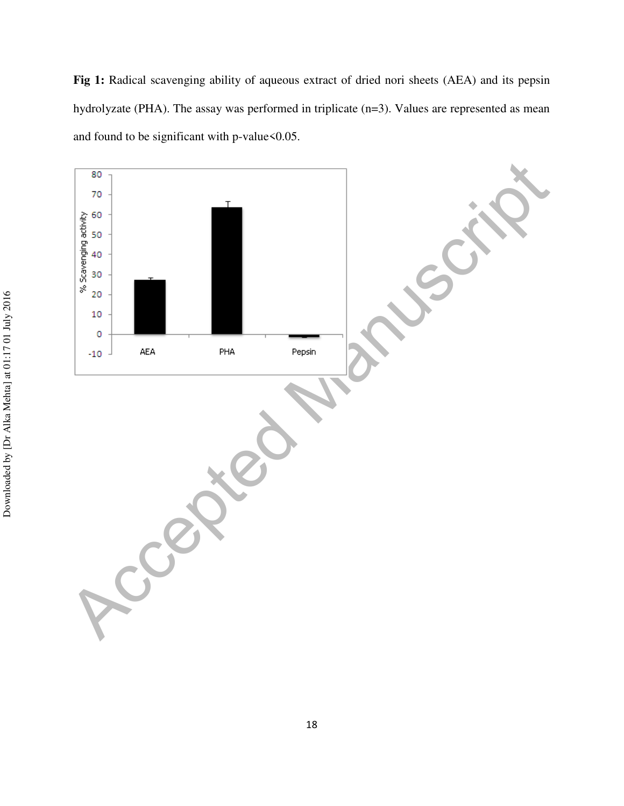**Fig 1:** Radical scavenging ability of aqueous extract of dried nori sheets (AEA) and its pepsin hydrolyzate (PHA). The assay was performed in triplicate (n=3). Values are represented as mean and found to be significant with p-value $<0.05$ .

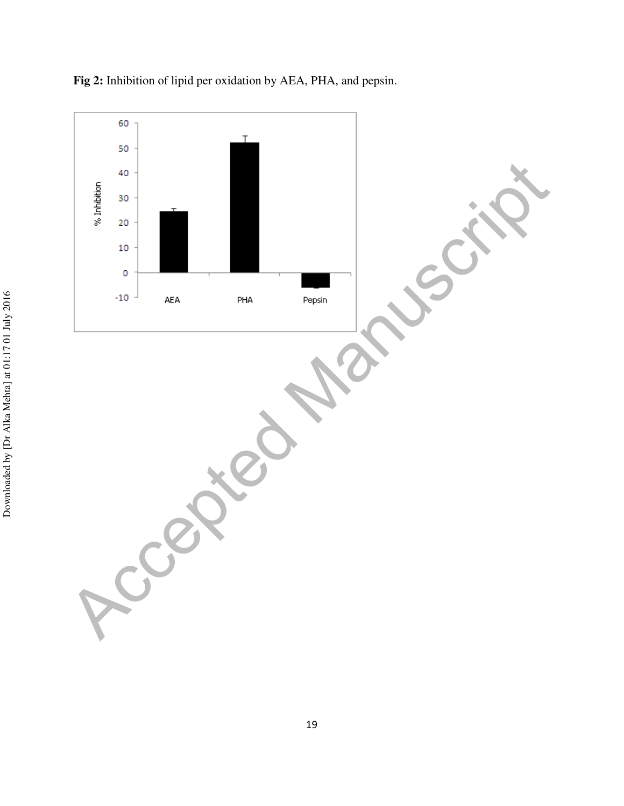

**Fig 2:** Inhibition of lipid per oxidation by AEA, PHA, and pepsin.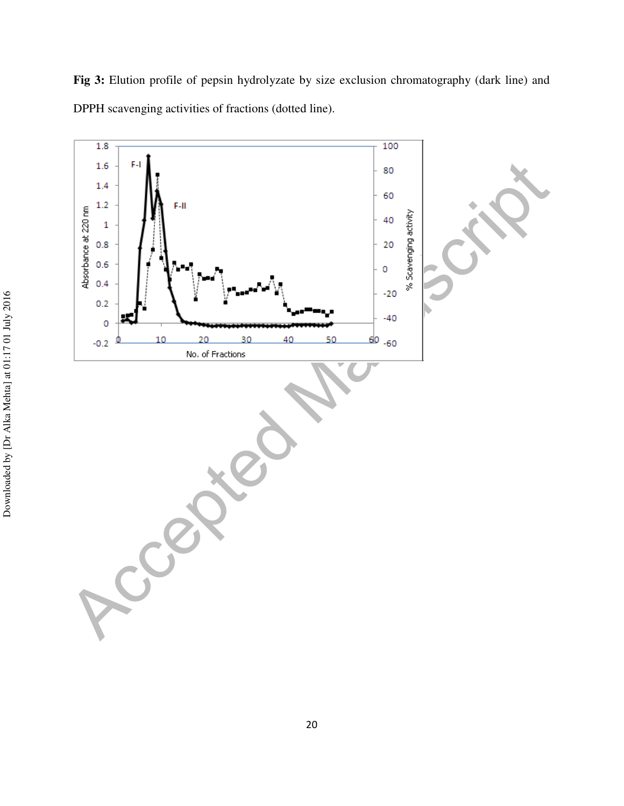

**Fig 3:** Elution profile of pepsin hydrolyzate by size exclusion chromatography (dark line) and DPPH scavenging activities of fractions (dotted line).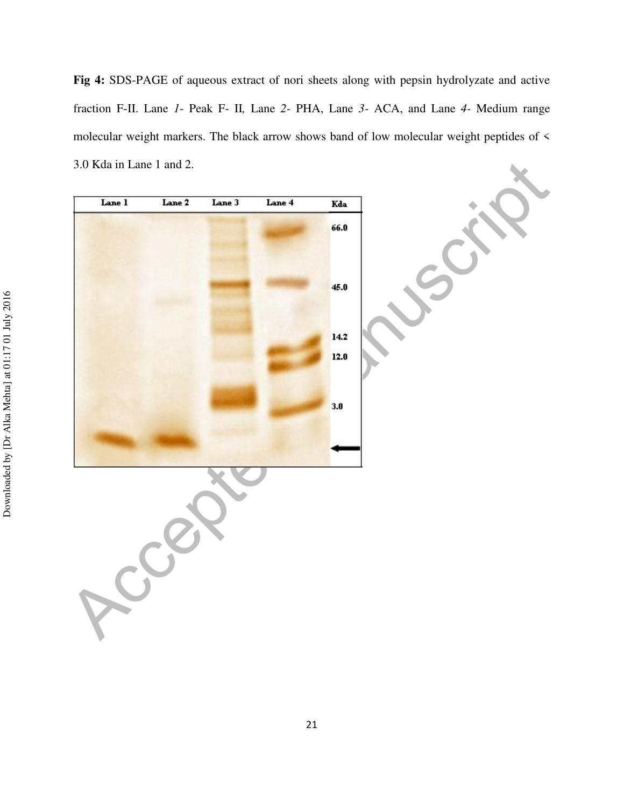**Fig 4:** SDS-PAGE of aqueous extract of nori sheets along with pepsin hydrolyzate and active fraction F-II. Lane *1*- Peak F- II*,* Lane *2-* PHA, Lane *3-* ACA, and Lane *4-* Medium range molecular weight markers. The black arrow shows band of low molecular weight peptides of < 3.0 Kda in Lane 1 and 2.

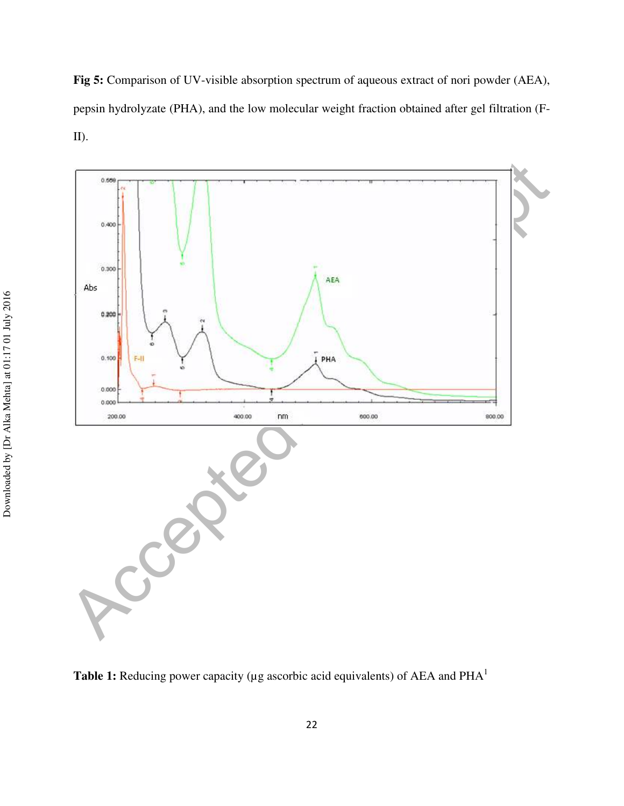**Fig 5:** Comparison of UV-visible absorption spectrum of aqueous extract of nori powder (AEA), pepsin hydrolyzate (PHA), and the low molecular weight fraction obtained after gel filtration (F-II).



Table 1: Reducing power capacity (µg ascorbic acid equivalents) of AEA and PHA<sup>1</sup>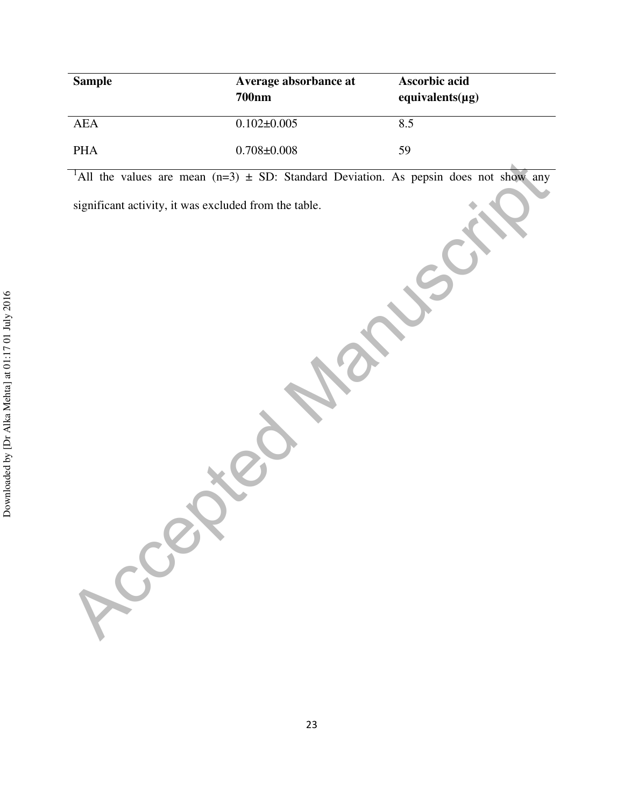| <b>Sample</b> | Average absorbance at<br><b>700nm</b> | <b>Ascorbic acid</b><br>equivalents $(\mu g)$ |
|---------------|---------------------------------------|-----------------------------------------------|
| AEA           | $0.102 \pm 0.005$                     | 8.5                                           |
| PHA           | $0.708 \pm 0.008$                     | 59                                            |

TAIL the values are mean (n=3) ± SD: Standard Deviation. As pepsin does not show any<br>significant activity, it was excluded from the table. <sup>1</sup>All the values are mean  $(n=3) \pm SD$ : Standard Deviation. As pepsin does not show any

significant activity, it was excluded from the table.